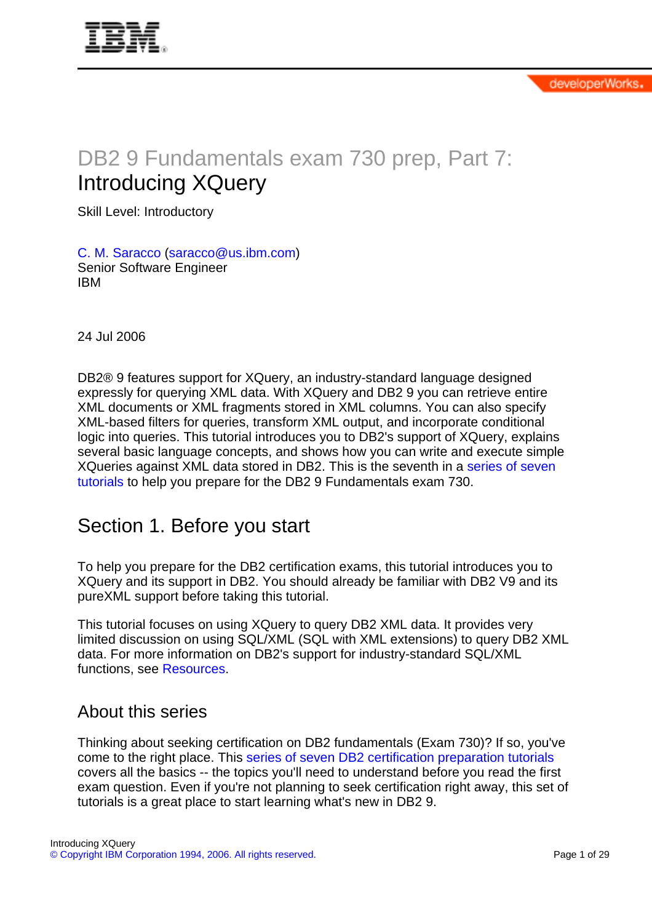<span id="page-0-0"></span>

# DB2 9 Fundamentals exam 730 prep, Part 7: Introducing XQuery

Skill Level: Introductory

[C. M. Saracco](#page-28-0) [\(saracco@us.ibm.com\)](mailto:saracco@us.ibm.com) Senior Software Engineer IBM

24 Jul 2006

DB2® 9 features support for XQuery, an industry-standard language designed expressly for querying XML data. With XQuery and DB2 9 you can retrieve entire XML documents or XML fragments stored in XML columns. You can also specify XML-based filters for queries, transform XML output, and incorporate conditional logic into queries. This tutorial introduces you to DB2's support of XQuery, explains several basic language concepts, and shows how you can write and execute simple XQueries against XML data stored in DB2. This is the seventh in a [series of seven](http://www.ibm.com/developerworks/offers/lp/db2cert/db2-cert730.html?S_TACT=105AGX19&S_CMP=db2cert) [tutorials](http://www.ibm.com/developerworks/offers/lp/db2cert/db2-cert730.html?S_TACT=105AGX19&S_CMP=db2cert) to help you prepare for the DB2 9 Fundamentals exam 730.

## Section 1. Before you start

To help you prepare for the DB2 certification exams, this tutorial introduces you to XQuery and its support in DB2. You should already be familiar with DB2 V9 and its pureXML support before taking this tutorial.

This tutorial focuses on using XQuery to query DB2 XML data. It provides very limited discussion on using SQL/XML (SQL with XML extensions) to query DB2 XML data. For more information on DB2's support for industry-standard SQL/XML functions, see [Resources.](#page-27-0)

## About this series

Thinking about seeking certification on DB2 fundamentals (Exam 730)? If so, you've come to the right place. This [series of seven DB2 certification preparation tutorials](http://www.ibm.com/developerworks/offers/lp/db2cert/db2-cert730.html?S_TACT=105AGX19&S_CMP=db2cert) covers all the basics -- the topics you'll need to understand before you read the first exam question. Even if you're not planning to seek certification right away, this set of tutorials is a great place to start learning what's new in DB2 9.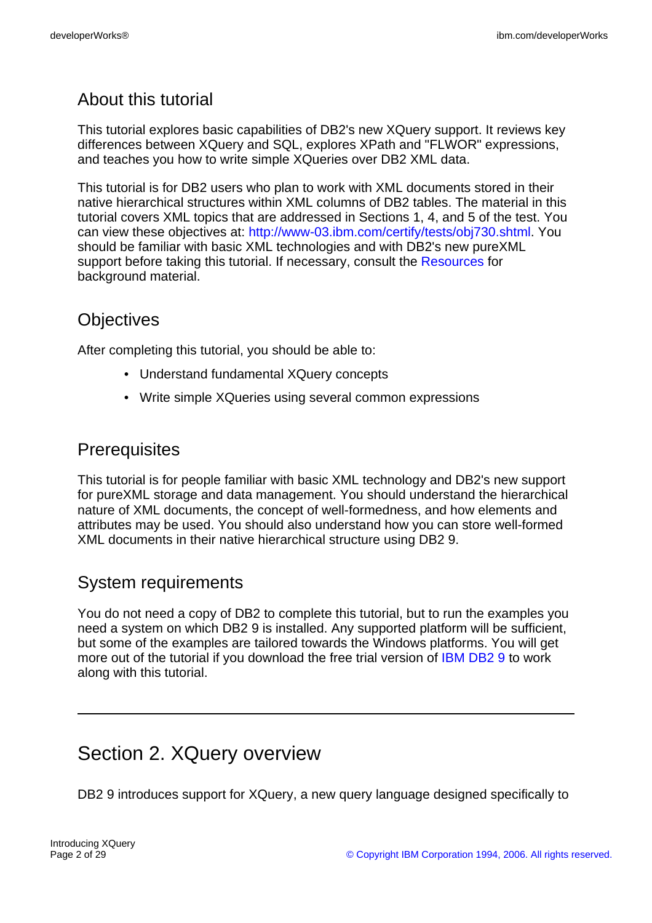## About this tutorial

This tutorial explores basic capabilities of DB2's new XQuery support. It reviews key differences between XQuery and SQL, explores XPath and "FLWOR" expressions, and teaches you how to write simple XQueries over DB2 XML data.

This tutorial is for DB2 users who plan to work with XML documents stored in their native hierarchical structures within XML columns of DB2 tables. The material in this tutorial covers XML topics that are addressed in Sections 1, 4, and 5 of the test. You can view these objectives at: <http://www-03.ibm.com/certify/tests/obj730.shtml>. You should be familiar with basic XML technologies and with DB2's new pureXML support before taking this tutorial. If necessary, consult the [Resources](#page-27-0) for background material.

## **Objectives**

After completing this tutorial, you should be able to:

- Understand fundamental XQuery concepts
- Write simple XQueries using several common expressions

## **Prerequisites**

This tutorial is for people familiar with basic XML technology and DB2's new support for pureXML storage and data management. You should understand the hierarchical nature of XML documents, the concept of well-formedness, and how elements and attributes may be used. You should also understand how you can store well-formed XML documents in their native hierarchical structure using DB2 9.

## System requirements

You do not need a copy of DB2 to complete this tutorial, but to run the examples you need a system on which DB2 9 is installed. Any supported platform will be sufficient, but some of the examples are tailored towards the Windows platforms. You will get more out of the tutorial if you download the free trial version of [IBM DB2 9](http://www.ibm.com/developerworks/downloads/im/udb/?S_TACT=105AGX19&S_CMP=db2cert) to work along with this tutorial.

# Section 2. XQuery overview

DB2 9 introduces support for XQuery, a new query language designed specifically to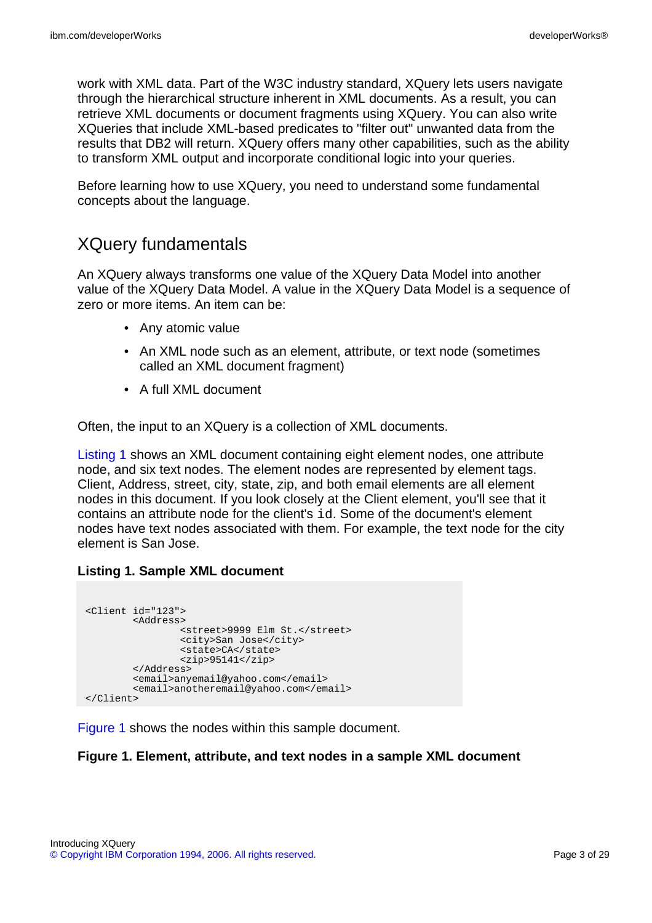work with XML data. Part of the W3C industry standard, XQuery lets users navigate through the hierarchical structure inherent in XML documents. As a result, you can retrieve XML documents or document fragments using XQuery. You can also write XQueries that include XML-based predicates to "filter out" unwanted data from the results that DB2 will return. XQuery offers many other capabilities, such as the ability to transform XML output and incorporate conditional logic into your queries.

Before learning how to use XQuery, you need to understand some fundamental concepts about the language.

## <span id="page-2-1"></span>XQuery fundamentals

An XQuery always transforms one value of the XQuery Data Model into another value of the XQuery Data Model. A value in the XQuery Data Model is a sequence of zero or more items. An item can be:

- Any atomic value
- An XML node such as an element, attribute, or text node (sometimes called an XML document fragment)
- A full XML document

Often, the input to an XQuery is a collection of XML documents.

[Listing 1](#page--1-0) shows an XML document containing eight element nodes, one attribute node, and six text nodes. The element nodes are represented by element tags. Client, Address, street, city, state, zip, and both email elements are all element nodes in this document. If you look closely at the Client element, you'll see that it contains an attribute node for the client's id. Some of the document's element nodes have text nodes associated with them. For example, the text node for the city element is San Jose.

### **Listing 1. Sample XML document**

```
<Client id="123">
        <Address>
                <street>9999 Elm St.</street>
                <city>San Jose</city>
                <state>CA</state>
                \langlezip>95141</zip>
        </Address>
        <email>anyemail@yahoo.com</email>
        <email>anotheremail@yahoo.com</email>
</Client>
```
[Figure 1](#page-2-0) shows the nodes within this sample document.

#### <span id="page-2-0"></span>**Figure 1. Element, attribute, and text nodes in a sample XML document**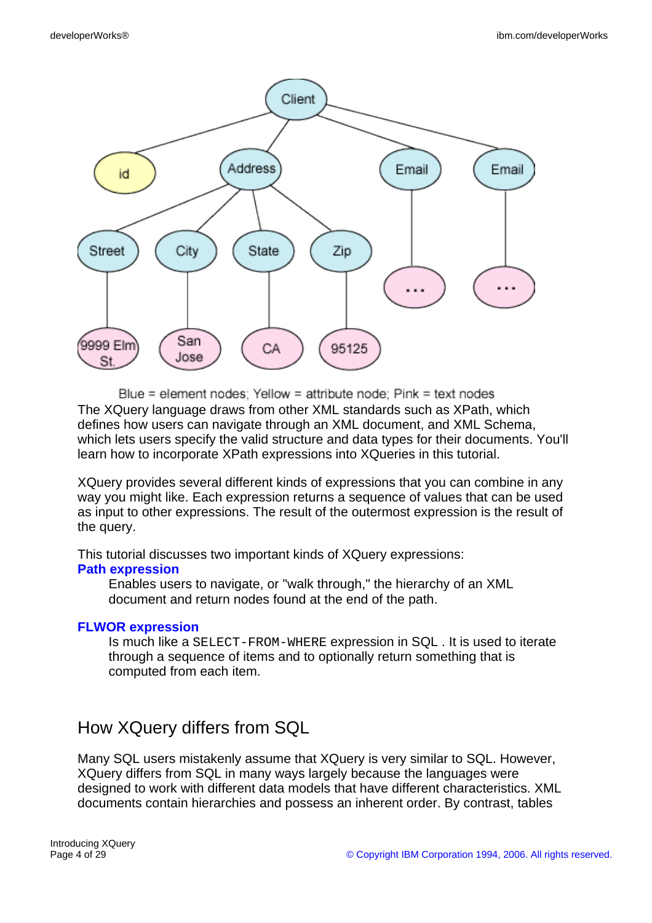

Blue = element nodes: Yellow = attribute node: Pink = text nodes The XQuery language draws from other XML standards such as XPath, which defines how users can navigate through an XML document, and XML Schema, which lets users specify the valid structure and data types for their documents. You'll learn how to incorporate XPath expressions into XQueries in this tutorial.

XQuery provides several different kinds of expressions that you can combine in any way you might like. Each expression returns a sequence of values that can be used as input to other expressions. The result of the outermost expression is the result of the query.

This tutorial discusses two important kinds of XQuery expressions:

#### **[Path expression](#page-4-0)**

Enables users to navigate, or "walk through," the hierarchy of an XML document and return nodes found at the end of the path.

### **[FLWOR expression](#page-6-0)**

Is much like a SELECT-FROM-WHERE expression in SQL . It is used to iterate through a sequence of items and to optionally return something that is computed from each item.

## How XQuery differs from SQL

Many SQL users mistakenly assume that XQuery is very similar to SQL. However, XQuery differs from SQL in many ways largely because the languages were designed to work with different data models that have different characteristics. XML documents contain hierarchies and possess an inherent order. By contrast, tables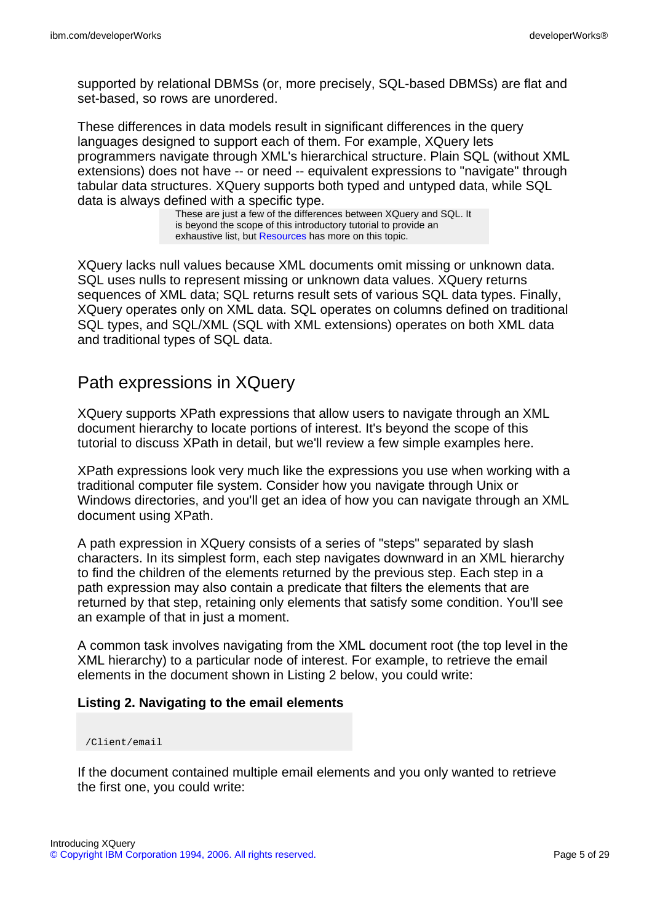supported by relational DBMSs (or, more precisely, SQL-based DBMSs) are flat and set-based, so rows are unordered.

These differences in data models result in significant differences in the query languages designed to support each of them. For example, XQuery lets programmers navigate through XML's hierarchical structure. Plain SQL (without XML extensions) does not have -- or need -- equivalent expressions to "navigate" through tabular data structures. XQuery supports both typed and untyped data, while SQL data is always defined with a specific type.

These are just a few of the differences between XQuery and SQL. It is beyond the scope of this introductory tutorial to provide an exhaustive list, but [Resources](#page-27-0) has more on this topic.

XQuery lacks null values because XML documents omit missing or unknown data. SQL uses nulls to represent missing or unknown data values. XQuery returns sequences of XML data; SQL returns result sets of various SQL data types. Finally, XQuery operates only on XML data. SQL operates on columns defined on traditional SQL types, and SQL/XML (SQL with XML extensions) operates on both XML data and traditional types of SQL data.

## <span id="page-4-0"></span>Path expressions in XQuery

XQuery supports XPath expressions that allow users to navigate through an XML document hierarchy to locate portions of interest. It's beyond the scope of this tutorial to discuss XPath in detail, but we'll review a few simple examples here.

XPath expressions look very much like the expressions you use when working with a traditional computer file system. Consider how you navigate through Unix or Windows directories, and you'll get an idea of how you can navigate through an XML document using XPath.

A path expression in XQuery consists of a series of "steps" separated by slash characters. In its simplest form, each step navigates downward in an XML hierarchy to find the children of the elements returned by the previous step. Each step in a path expression may also contain a predicate that filters the elements that are returned by that step, retaining only elements that satisfy some condition. You'll see an example of that in just a moment.

A common task involves navigating from the XML document root (the top level in the XML hierarchy) to a particular node of interest. For example, to retrieve the email elements in the document shown in Listing 2 below, you could write:

### **Listing 2. Navigating to the email elements**

#### /Client/email

If the document contained multiple email elements and you only wanted to retrieve the first one, you could write: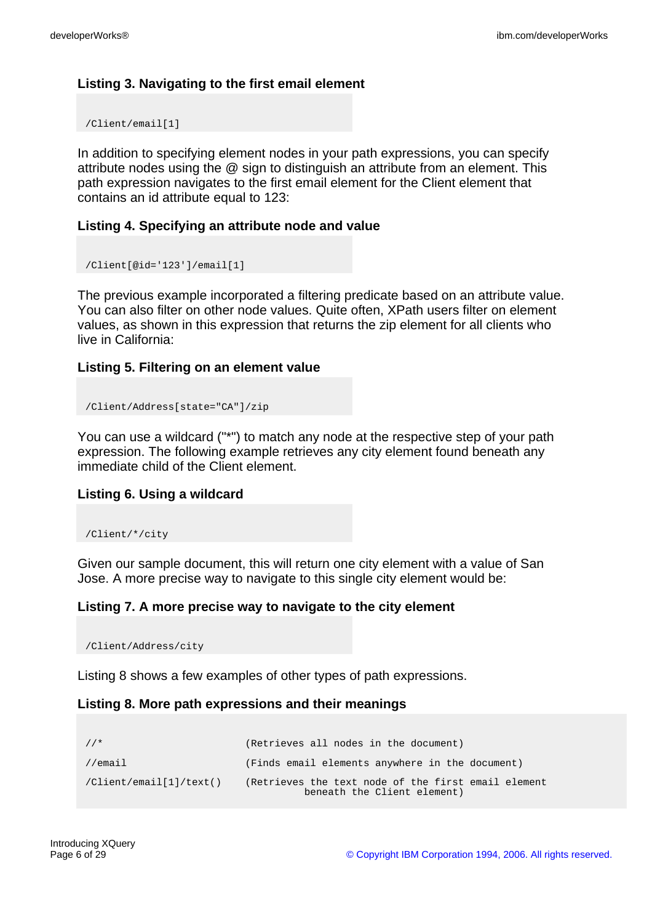## **Listing 3. Navigating to the first email element**

/Client/email[1]

In addition to specifying element nodes in your path expressions, you can specify attribute nodes using the @ sign to distinguish an attribute from an element. This path expression navigates to the first email element for the Client element that contains an id attribute equal to 123:

### **Listing 4. Specifying an attribute node and value**

```
/Client[@id='123']/email[1]
```
The previous example incorporated a filtering predicate based on an attribute value. You can also filter on other node values. Quite often, XPath users filter on element values, as shown in this expression that returns the zip element for all clients who live in California:

### **Listing 5. Filtering on an element value**

```
/Client/Address[state="CA"]/zip
```
You can use a wildcard ("\*") to match any node at the respective step of your path expression. The following example retrieves any city element found beneath any immediate child of the Client element.

#### **Listing 6. Using a wildcard**

```
/Client/*/city
```
Given our sample document, this will return one city element with a value of San Jose. A more precise way to navigate to this single city element would be:

### **Listing 7. A more precise way to navigate to the city element**

/Client/Address/city

Listing 8 shows a few examples of other types of path expressions.

#### **Listing 8. More path expressions and their meanings**

```
//* (Retrieves all nodes in the document)
//email (Finds email elements anywhere in the document)
/Client/email[1]/text() (Retrieves the text node of the first email element
                              beneath the Client element)
```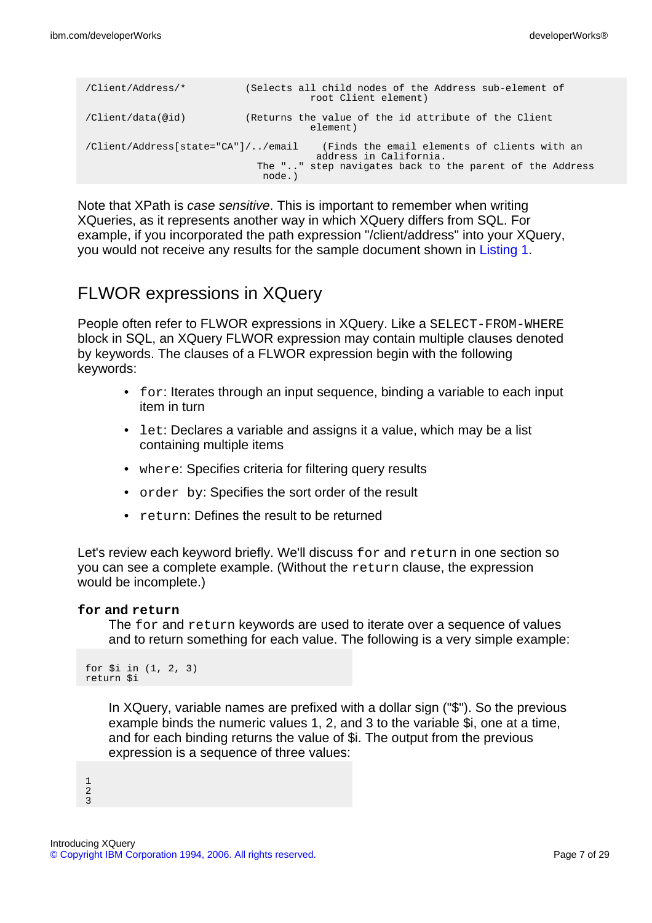| /Client/Address/*                  | (Selects all child nodes of the Address sub-element of<br>root Client element)                                                              |
|------------------------------------|---------------------------------------------------------------------------------------------------------------------------------------------|
| /Client/data(@id)                  | (Returns the value of the id attribute of the Client<br>element)                                                                            |
| /Client/Address[state="CA"]//email | (Finds the email elements of clients with an<br>address in California.<br>The "" step navigates back to the parent of the Address<br>node.) |

Note that XPath is case sensitive. This is important to remember when writing XQueries, as it represents another way in which XQuery differs from SQL. For example, if you incorporated the path expression "/client/address" into your XQuery, you would not receive any results for the sample document shown in [Listing 1](#page--1-0).

## <span id="page-6-0"></span>FLWOR expressions in XQuery

People often refer to FLWOR expressions in XQuery. Like a SELECT-FROM-WHERE block in SQL, an XQuery FLWOR expression may contain multiple clauses denoted by keywords. The clauses of a FLWOR expression begin with the following keywords:

- for: Iterates through an input sequence, binding a variable to each input item in turn
- Let: Declares a variable and assigns it a value, which may be a list containing multiple items
- where: Specifies criteria for filtering query results
- order by: Specifies the sort order of the result
- return: Defines the result to be returned

Let's review each keyword briefly. We'll discuss for and return in one section so you can see a complete example. (Without the return clause, the expression would be incomplete.)

#### **for and return**

The for and return keywords are used to iterate over a sequence of values and to return something for each value. The following is a very simple example:

```
for $i in (1, 2, 3)
return $i
```
In XQuery, variable names are prefixed with a dollar sign ("\$"). So the previous example binds the numeric values 1, 2, and 3 to the variable \$i, one at a time, and for each binding returns the value of \$i. The output from the previous expression is a sequence of three values:

1 2  $\overline{3}$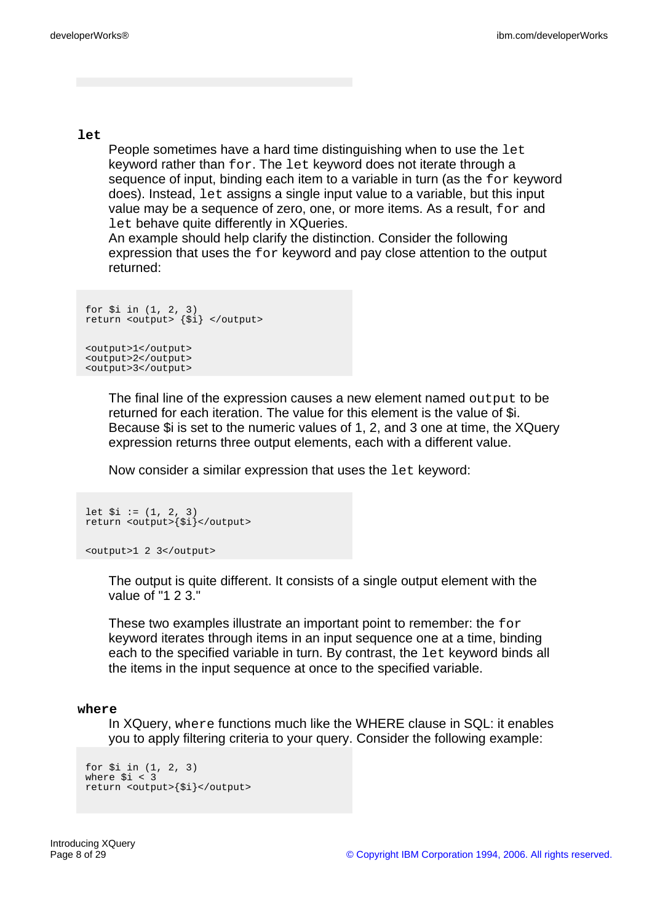**let**

People sometimes have a hard time distinguishing when to use the let keyword rather than for. The let keyword does not iterate through a sequence of input, binding each item to a variable in turn (as the for keyword does). Instead, let assigns a single input value to a variable, but this input value may be a sequence of zero, one, or more items. As a result, for and Let behave quite differently in XQueries.

An example should help clarify the distinction. Consider the following expression that uses the for keyword and pay close attention to the output returned:

```
for $i in (1, 2, 3)
return <output> {$i} </output>
<output>1</output>
<output>2</output>
<output>3</output>
```
The final line of the expression causes a new element named output to be returned for each iteration. The value for this element is the value of \$i. Because \$i is set to the numeric values of 1, 2, and 3 one at time, the XQuery expression returns three output elements, each with a different value.

Now consider a similar expression that uses the let keyword:

```
let $i := (1, 2, 3)
return <output>{$i}</output>
```
<output>1 2 3</output>

The output is quite different. It consists of a single output element with the value of "1  $2.3$ "

These two examples illustrate an important point to remember: the for keyword iterates through items in an input sequence one at a time, binding each to the specified variable in turn. By contrast, the let keyword binds all the items in the input sequence at once to the specified variable.

#### **where**

In XQuery, where functions much like the WHERE clause in SQL: it enables you to apply filtering criteria to your query. Consider the following example:

```
for $i in (1, 2, 3)
where $i < 3
return <output>{$i}</output>
```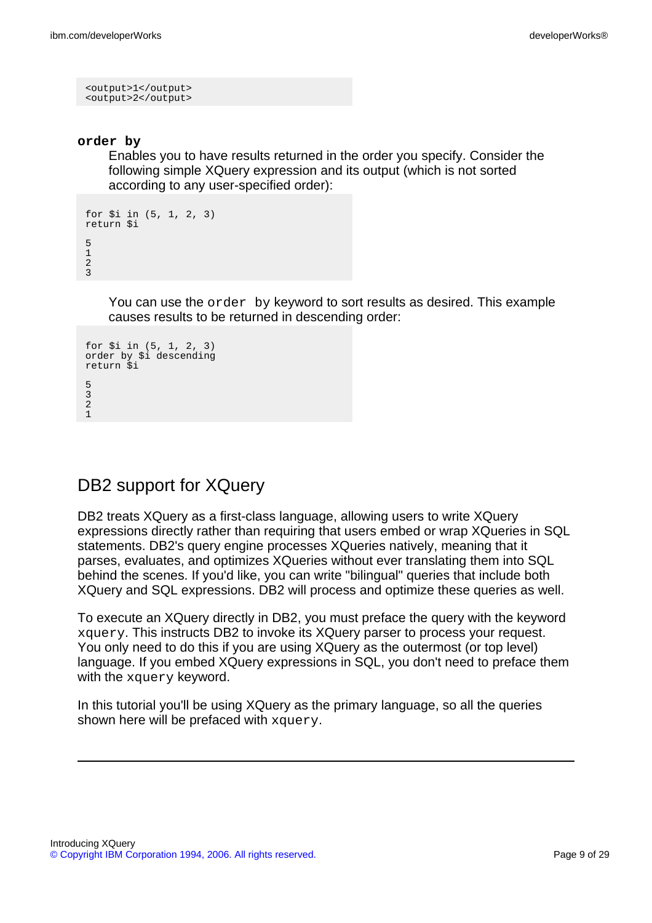```
<output>1</output>
<output>2</output>
```
#### **order by**

Enables you to have results returned in the order you specify. Consider the following simple XQuery expression and its output (which is not sorted according to any user-specified order):

```
for $i in (5, 1, 2, 3)
return $i
5
1
2
3
```
You can use the order by keyword to sort results as desired. This example causes results to be returned in descending order:

```
for $i in (5, 1, 2, 3)
order by $i descending
return $i
5
3
2
1
```
## DB2 support for XQuery

DB2 treats XQuery as a first-class language, allowing users to write XQuery expressions directly rather than requiring that users embed or wrap XQueries in SQL statements. DB2's query engine processes XQueries natively, meaning that it parses, evaluates, and optimizes XQueries without ever translating them into SQL behind the scenes. If you'd like, you can write "bilingual" queries that include both XQuery and SQL expressions. DB2 will process and optimize these queries as well.

To execute an XQuery directly in DB2, you must preface the query with the keyword xquery. This instructs DB2 to invoke its XQuery parser to process your request. You only need to do this if you are using XQuery as the outermost (or top level) language. If you embed XQuery expressions in SQL, you don't need to preface them with the xquery keyword.

In this tutorial you'll be using XQuery as the primary language, so all the queries shown here will be prefaced with xquery.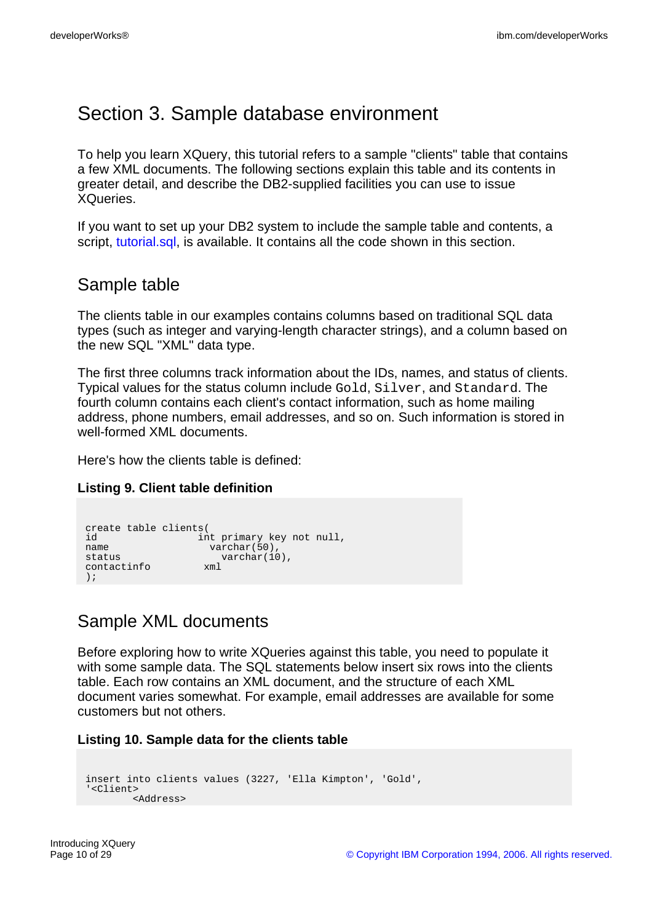# Section 3. Sample database environment

To help you learn XQuery, this tutorial refers to a sample "clients" table that contains a few XML documents. The following sections explain this table and its contents in greater detail, and describe the DB2-supplied facilities you can use to issue XQueries.

If you want to set up your DB2 system to include the sample table and contents, a script, [tutorial.sql,](tutorial.sql) is available. It contains all the code shown in this section.

## Sample table

The clients table in our examples contains columns based on traditional SQL data types (such as integer and varying-length character strings), and a column based on the new SQL "XML" data type.

The first three columns track information about the IDs, names, and status of clients. Typical values for the status column include Gold, Silver, and Standard. The fourth column contains each client's contact information, such as home mailing address, phone numbers, email addresses, and so on. Such information is stored in well-formed XML documents.

Here's how the clients table is defined:

### **Listing 9. Client table definition**

```
create table clients(
id int primary key not null,
name varchar(50),
name<br>
status varchar(50),<br>
contactinfo xml varchar(10),
contactinfo xml
);
```
## <span id="page-9-0"></span>Sample XML documents

Before exploring how to write XQueries against this table, you need to populate it with some sample data. The SQL statements below insert six rows into the clients table. Each row contains an XML document, and the structure of each XML document varies somewhat. For example, email addresses are available for some customers but not others.

#### **Listing 10. Sample data for the clients table**

```
insert into clients values (3227, 'Ella Kimpton', 'Gold',
'<Client>
        <Address>
```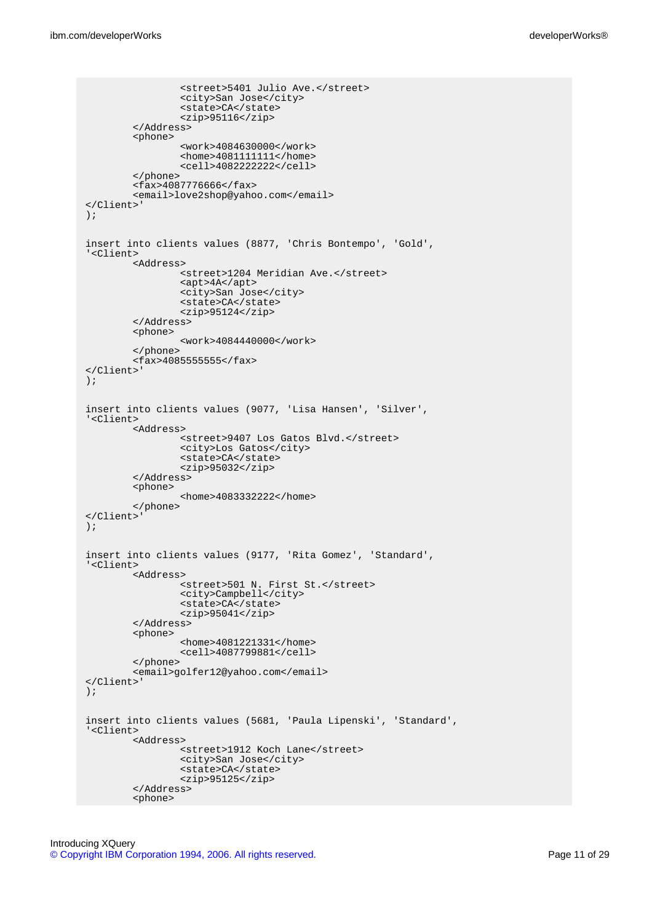```
<street>5401 Julio Ave.</street>
                <city>San Jose</city>
                <state>CA</state>
                <zip>95116</zip>
        </Address>
        <phone>
                <work>4084630000</work>
                <home>4081111111</home>
                <cell>4082222222</cell>
        </phone>
        <fax>4087776666</fax>
        <email>love2shop@yahoo.com</email>
</Client>'
);
insert into clients values (8877, 'Chris Bontempo', 'Gold',
'<Client>
        <Address>
                <street>1204 Meridian Ave.</street>
                <apt>4A</apt>
                <city>San Jose</city>
                <state>CA</state>
                <zip>95124</zip>
        </Address>
        <phone>
                <work>4084440000</work>
        </phone>
        <fax>4085555555</fax>
</Client>'
);
insert into clients values (9077, 'Lisa Hansen', 'Silver',
'<Client>
        <Address>
                <street>9407 Los Gatos Blvd.</street>
                <city>Los Gatos</city>
                <state>CA</state>
                <zip>95032</zip>
        </Address>
        <phone>
                <home>4083332222</home>
        </phone>
</Client>'
);
insert into clients values (9177, 'Rita Gomez', 'Standard',
'<Client>
        <Address>
                <street>501 N. First St.</street>
                <city>Campbell</city>
                <state>CA</state>
                <zip>95041</zip>
        </Address>
        <phone>
                <home>4081221331</home>
                <cell>4087799881</cell>
        </phone>
        <email>golfer12@yahoo.com</email>
</Client>'
);
insert into clients values (5681, 'Paula Lipenski', 'Standard',
'<Client>
        <Address>
                <street>1912 Koch Lane</street>
                <city>San Jose</city>
                <state>CA</state>
                <zip>95125</zip>
        </Address>
        <phone>
```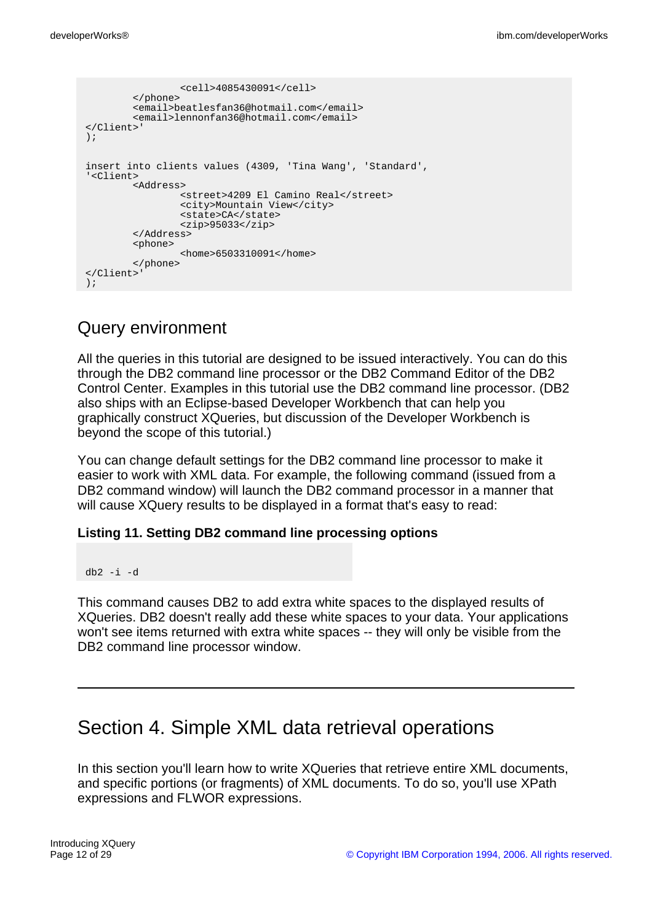```
<cell>4085430091</cell>
        </phone>
        <email>beatlesfan36@hotmail.com</email>
        <email>lennonfan36@hotmail.com</email>
</Client>'
);
insert into clients values (4309, 'Tina Wang', 'Standard',
'<Client>
        <Address>
                <street>4209 El Camino Real</street>
               <city>Mountain View</city>
                <state>CA</state>
               <zip>95033</zip>
        </Address>
        <phone>
                <home>6503310091</home>
      </phone>
</Client>'
);
```
## Query environment

All the queries in this tutorial are designed to be issued interactively. You can do this through the DB2 command line processor or the DB2 Command Editor of the DB2 Control Center. Examples in this tutorial use the DB2 command line processor. (DB2 also ships with an Eclipse-based Developer Workbench that can help you graphically construct XQueries, but discussion of the Developer Workbench is beyond the scope of this tutorial.)

You can change default settings for the DB2 command line processor to make it easier to work with XML data. For example, the following command (issued from a DB2 command window) will launch the DB2 command processor in a manner that will cause XQuery results to be displayed in a format that's easy to read:

#### **Listing 11. Setting DB2 command line processing options**

```
db2 -i -d
```
This command causes DB2 to add extra white spaces to the displayed results of XQueries. DB2 doesn't really add these white spaces to your data. Your applications won't see items returned with extra white spaces -- they will only be visible from the DB2 command line processor window.

## Section 4. Simple XML data retrieval operations

In this section you'll learn how to write XQueries that retrieve entire XML documents, and specific portions (or fragments) of XML documents. To do so, you'll use XPath expressions and FLWOR expressions.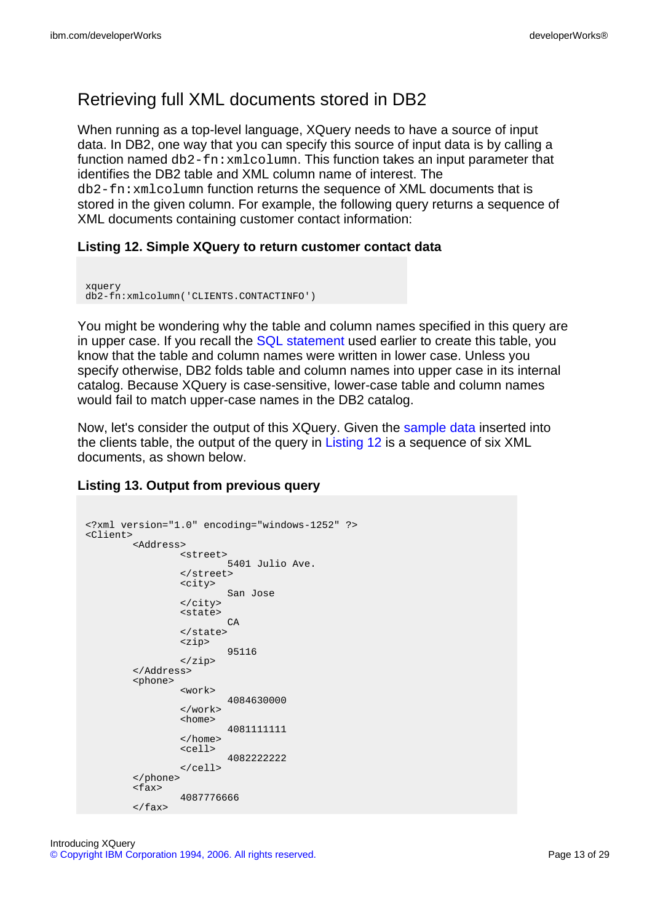## Retrieving full XML documents stored in DB2

When running as a top-level language, XQuery needs to have a source of input data. In DB2, one way that you can specify this source of input data is by calling a function named  $db2-fn:xmlcolumn$ . This function takes an input parameter that identifies the DB2 table and XML column name of interest. The db2-fn:xmlcolumn function returns the sequence of XML documents that is stored in the given column. For example, the following query returns a sequence of XML documents containing customer contact information:

### **Listing 12. Simple XQuery to return customer contact data**

```
xquery
db2-fn:xmlcolumn('CLIENTS.CONTACTINFO')
```
You might be wondering why the table and column names specified in this query are in upper case. If you recall the [SQL statement](#page--1-0) used earlier to create this table, you know that the table and column names were written in lower case. Unless you specify otherwise, DB2 folds table and column names into upper case in its internal catalog. Because XQuery is case-sensitive, lower-case table and column names would fail to match upper-case names in the DB2 catalog.

Now, let's consider the output of this XQuery. Given the [sample data](#page--1-0) inserted into the clients table, the output of the query in [Listing 12](#page--1-0) is a sequence of six XML documents, as shown below.

### **Listing 13. Output from previous query**

```
<?xml version="1.0" encoding="windows-1252" ?>
<Client>
        <Address>
                 <street>
                          5401 Julio Ave.
                 </street>
                 <city>
                         San Jose
                 </city>
                 <state>
                         C_A</state>
                 <zip>
                          95116
                 </zip>
        </Address>
        <phone>
                 <work>
                         4084630000
                 </work>
                 <home>
                          4081111111
                 </home>
                 <cell>
                         4082222222
                 </cell>
        </phone>
        \overline{\text{if}}4087776666
        \langle fax>
```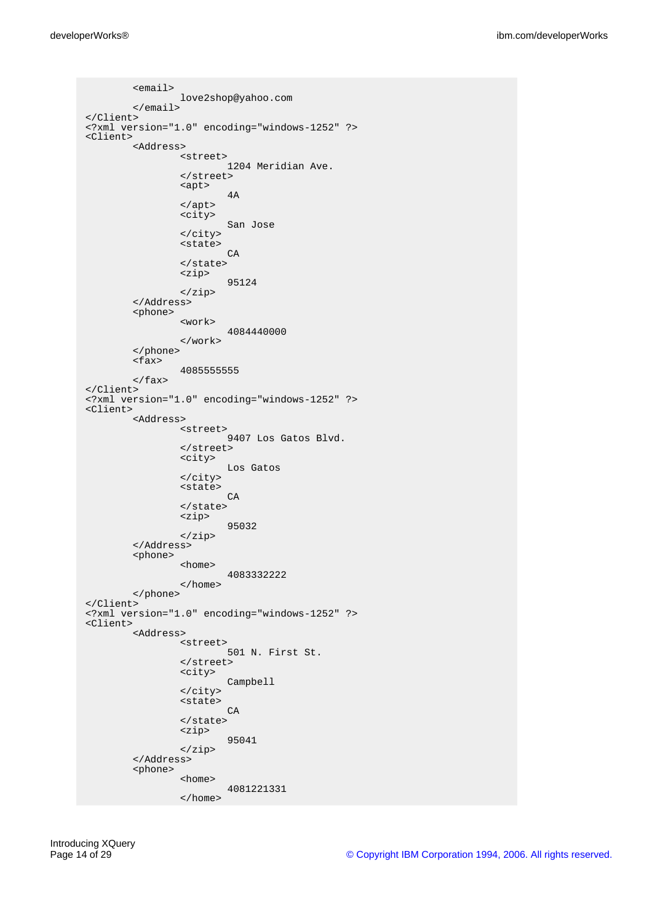```
<email>
                love2shop@yahoo.com
        </email>
</Client>
<?xml version="1.0" encoding="windows-1252" ?>
<Client>
        <Address>
                <street>
                         1204 Meridian Ave.
                </street>
                <apt>
                        4A
                </apt>
                <city>
                        San Jose
                </city>
                <state>
                        CA
                </state>
                <zip>
                        95124
                </zip>
        </Address>
        <phone>
                <work>
                        4084440000
                </work>
        </phone>
        <fax>
                4085555555
       \langle / fax>
</Client>
<?xml version="1.0" encoding="windows-1252" ?>
<Client>
        <Address>
                <street>
                         9407 Los Gatos Blvd.
                </street>
                <city>
                        Los Gatos
                </city>
                <state>
                        CA
                </state>
                <zip>
                        95032
                </zip>
        </Address>
        <phone>
                <home>
                        4083332222
                </home>
        </phone>
</Client>
<?xml version="1.0" encoding="windows-1252" ?>
<Client>
        <Address>
                <street>
                        501 N. First St.
                </street>
                <city>
                        Campbell
                \langlecity>
                <state>
                        CA
                </state>
                <zip>
                        95041
                </zip>
        </Address>
        <phone>
                <home>
                        4081221331
                </home>
```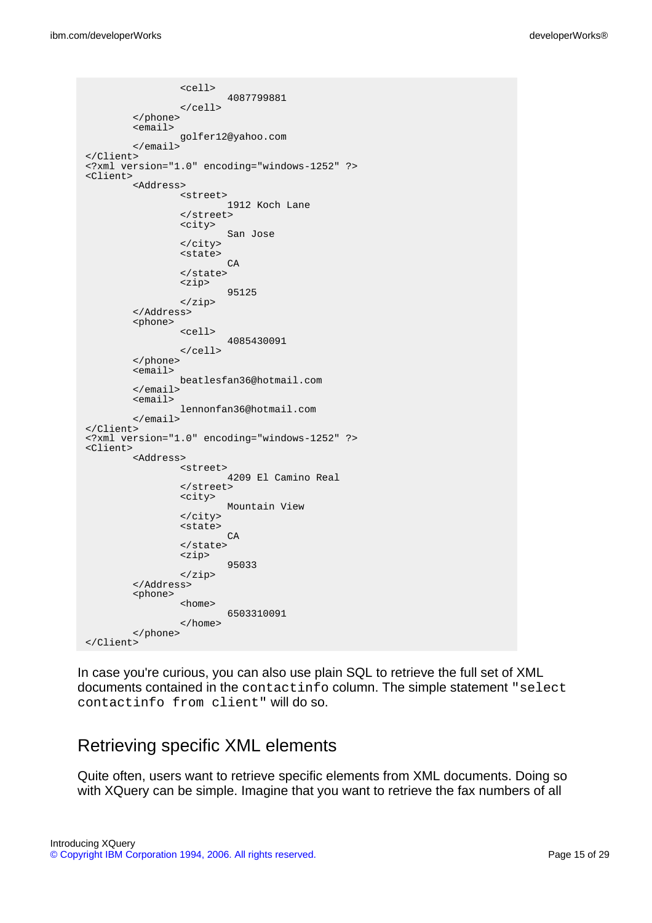```
<cell>
                        4087799881
                </cell>
        </phone>
        <email>
                 golfer12@yahoo.com
        </email>
</Client>
<?xml version="1.0" encoding="windows-1252" ?>
<Client>
        <Address>
                 <street>
                         1912 Koch Lane
                </street>
                <city>
                        San Jose
                </city>
                <state>
                        C<sub>D</sub></state>
                <zip>
                        95125
                </zip>
        </Address>
        <phone>
                <cell>
                        4085430091
                </cell>
        </phone>
        <email>
                beatlesfan36@hotmail.com
        </email>
        <email>
                lennonfan36@hotmail.com
        </email>
</Client>
<?xml version="1.0" encoding="windows-1252" ?>
<Client>
        <Address>
                <street>
                        4209 El Camino Real
                </street>
                <city>
                        Mountain View
                </city>
                <state>
                        CA
                </state>
                <zip>
                        95033
                </zip>
        </Address>
        <phone>
                <home>
                        6503310091
                </home>
        </phone>
</Client>
```
In case you're curious, you can also use plain SQL to retrieve the full set of XML documents contained in the contactinfo column. The simple statement "select contactinfo from client" will do so.

## Retrieving specific XML elements

Quite often, users want to retrieve specific elements from XML documents. Doing so with XQuery can be simple. Imagine that you want to retrieve the fax numbers of all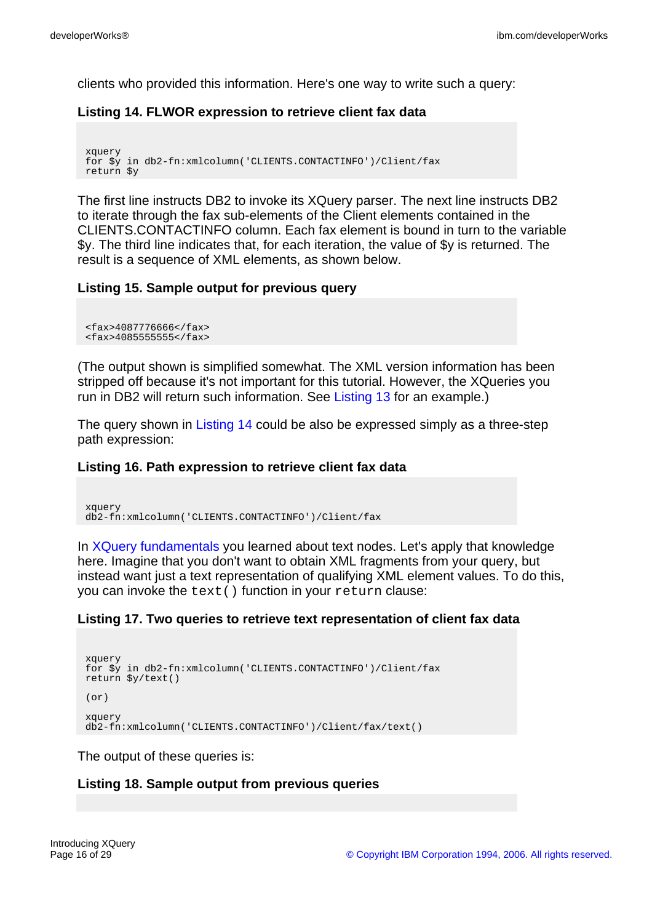clients who provided this information. Here's one way to write such a query:

#### **Listing 14. FLWOR expression to retrieve client fax data**

```
xquery
for $y in db2-fn:xmlcolumn('CLIENTS.CONTACTINFO')/Client/fax
return $y
```
The first line instructs DB2 to invoke its XQuery parser. The next line instructs DB2 to iterate through the fax sub-elements of the Client elements contained in the CLIENTS.CONTACTINFO column. Each fax element is bound in turn to the variable \$y. The third line indicates that, for each iteration, the value of \$y is returned. The result is a sequence of XML elements, as shown below.

### **Listing 15. Sample output for previous query**

```
<fax>4087776666</fax>
<fax>4085555555</fax>
```
(The output shown is simplified somewhat. The XML version information has been stripped off because it's not important for this tutorial. However, the XQueries you run in DB2 will return such information. See [Listing 13](#page--1-0) for an example.)

The query shown in [Listing 14](#page--1-0) could be also be expressed simply as a three-step path expression:

#### **Listing 16. Path expression to retrieve client fax data**

```
xquery
db2-fn:xmlcolumn('CLIENTS.CONTACTINFO')/Client/fax
```
In [XQuery fundamentals](#page-2-1) you learned about text nodes. Let's apply that knowledge here. Imagine that you don't want to obtain XML fragments from your query, but instead want just a text representation of qualifying XML element values. To do this, you can invoke the text() function in your return clause:

#### **Listing 17. Two queries to retrieve text representation of client fax data**

```
xquery
for $y in db2-fn:xmlcolumn('CLIENTS.CONTACTINFO')/Client/fax
return $y/text()
(nr)xquery
db2-fn:xmlcolumn('CLIENTS.CONTACTINFO')/Client/fax/text()
```
The output of these queries is:

#### **Listing 18. Sample output from previous queries**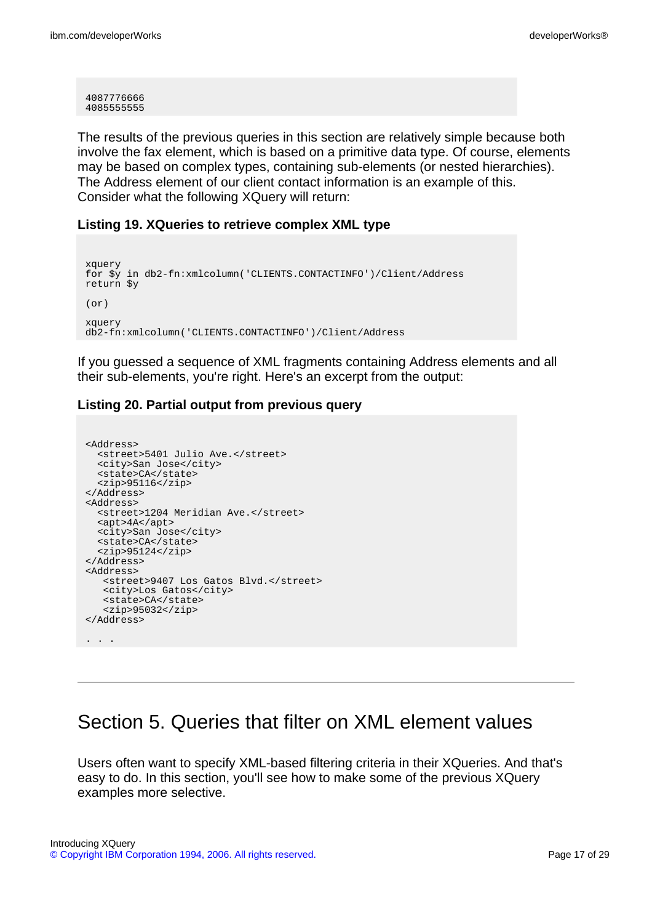4087776666 4085555555

The results of the previous queries in this section are relatively simple because both involve the fax element, which is based on a primitive data type. Of course, elements may be based on complex types, containing sub-elements (or nested hierarchies). The Address element of our client contact information is an example of this. Consider what the following XQuery will return:

#### **Listing 19. XQueries to retrieve complex XML type**

```
xquery
for $y in db2-fn:xmlcolumn('CLIENTS.CONTACTINFO')/Client/Address
return $y
(or)
xquery
db2-fn:xmlcolumn('CLIENTS.CONTACTINFO')/Client/Address
```
If you guessed a sequence of XML fragments containing Address elements and all their sub-elements, you're right. Here's an excerpt from the output:

### **Listing 20. Partial output from previous query**

```
<Address>
  <street>5401 Julio Ave.</street>
  <city>San Jose</city>
 <state>CA</state>
  <zip>95116</zip>
</Address>
<Address>
  <street>1204 Meridian Ave.</street>
  <apt>4A</apt>
 <city>San Jose</city>
 <state>CA</state>
  <zip>95124</zip>
</Address>
<Address>
   <street>9407 Los Gatos Blvd.</street>
   <city>Los Gatos</city>
   <state>CA</state>
   <zip>95032</zip>
</Address>
. . .
```
## Section 5. Queries that filter on XML element values

Users often want to specify XML-based filtering criteria in their XQueries. And that's easy to do. In this section, you'll see how to make some of the previous XQuery examples more selective.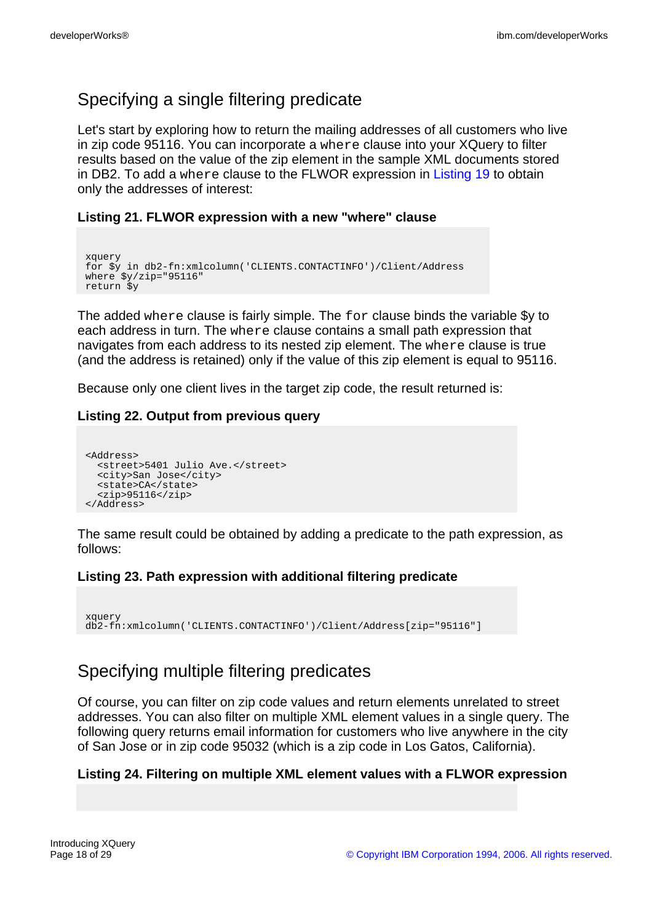## Specifying a single filtering predicate

Let's start by exploring how to return the mailing addresses of all customers who live in zip code 95116. You can incorporate a where clause into your XQuery to filter results based on the value of the zip element in the sample XML documents stored in DB2. To add a where clause to the FLWOR expression in [Listing 19](#page--1-0) to obtain only the addresses of interest:

### **Listing 21. FLWOR expression with a new "where" clause**

```
xquery
for $y in db2-fn:xmlcolumn('CLIENTS.CONTACTINFO')/Client/Address
where \frac{2}{7} \frac{1}{2} \frac{1}{2} \frac{1}{2} \frac{1}{2} \frac{1}{2} \frac{1}{2} \frac{1}{2} \frac{1}{2} \frac{1}{2} \frac{1}{2} \frac{1}{2} \frac{1}{2} \frac{1}{2} \frac{1}{2} \frac{1}{2} \frac{1}{2} \frac{1}{2} \frac{1}{2} \frac{1}{2} \frac{1}{2} \frac{1return $y
```
The added where clause is fairly simple. The for clause binds the variable \$y to each address in turn. The where clause contains a small path expression that navigates from each address to its nested zip element. The where clause is true (and the address is retained) only if the value of this zip element is equal to 95116.

Because only one client lives in the target zip code, the result returned is:

### **Listing 22. Output from previous query**

```
<Address>
 <street>5401 Julio Ave.</street>
  <city>San Jose</city>
  <state>CA</state>
  <zip>95116</zip>
</Address>
```
The same result could be obtained by adding a predicate to the path expression, as follows:

#### **Listing 23. Path expression with additional filtering predicate**

```
xquery
db2-fn:xmlcolumn('CLIENTS.CONTACTINFO')/Client/Address[zip="95116"]
```
## Specifying multiple filtering predicates

Of course, you can filter on zip code values and return elements unrelated to street addresses. You can also filter on multiple XML element values in a single query. The following query returns email information for customers who live anywhere in the city of San Jose or in zip code 95032 (which is a zip code in Los Gatos, California).

### **Listing 24. Filtering on multiple XML element values with a FLWOR expression**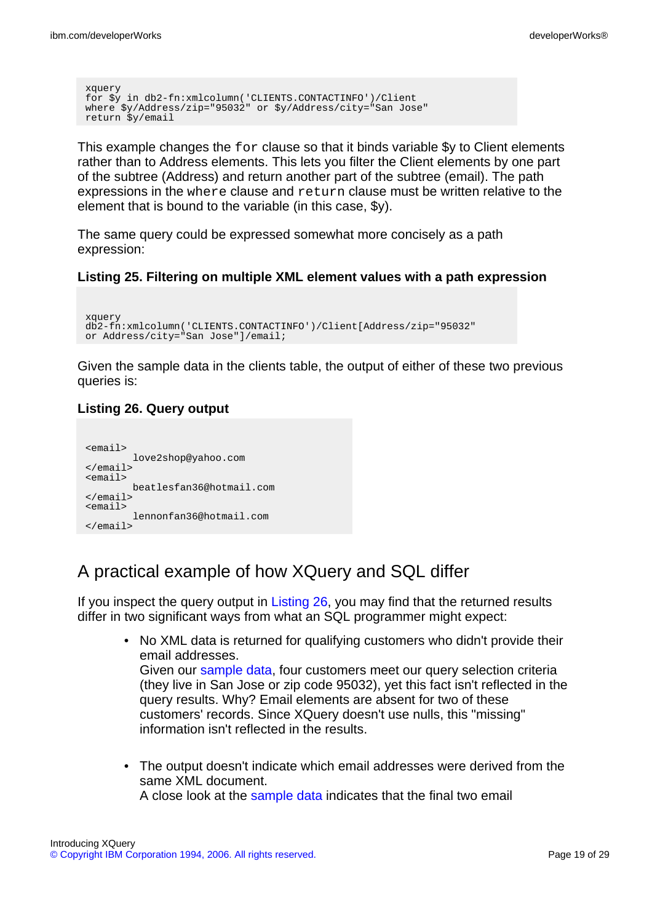```
xquery
for $y in db2-fn:xmlcolumn('CLIENTS.CONTACTINFO')/Client
where $y/Address/zip="95032" or $y/Address/city="San Jose"
return $y/email
```
This example changes the for clause so that it binds variable \$y to Client elements rather than to Address elements. This lets you filter the Client elements by one part of the subtree (Address) and return another part of the subtree (email). The path expressions in the where clause and return clause must be written relative to the element that is bound to the variable (in this case, \$y).

The same query could be expressed somewhat more concisely as a path expression:

#### **Listing 25. Filtering on multiple XML element values with a path expression**

```
xquery
db2-fn:xmlcolumn('CLIENTS.CONTACTINFO')/Client[Address/zip="95032"
or Address/city="San Jose"]/email;
```
Given the sample data in the clients table, the output of either of these two previous queries is:

### **Listing 26. Query output**

```
<email>
         love2shop@yahoo.com
</email>
\epsilon\approxmail>
         beatlesfan36@hotmail.com
</email>
<email>
         lennonfan36@hotmail.com
</email>
```
## A practical example of how XQuery and SQL differ

If you inspect the query output in [Listing 26,](#page--1-0) you may find that the returned results differ in two significant ways from what an SQL programmer might expect:

• No XML data is returned for qualifying customers who didn't provide their email addresses. Given our [sample data](#page-9-0), four customers meet our query selection criteria

(they live in San Jose or zip code 95032), yet this fact isn't reflected in the query results. Why? Email elements are absent for two of these customers' records. Since XQuery doesn't use nulls, this "missing" information isn't reflected in the results.

• The output doesn't indicate which email addresses were derived from the same XML document. A close look at the [sample data](#page-9-0) indicates that the final two email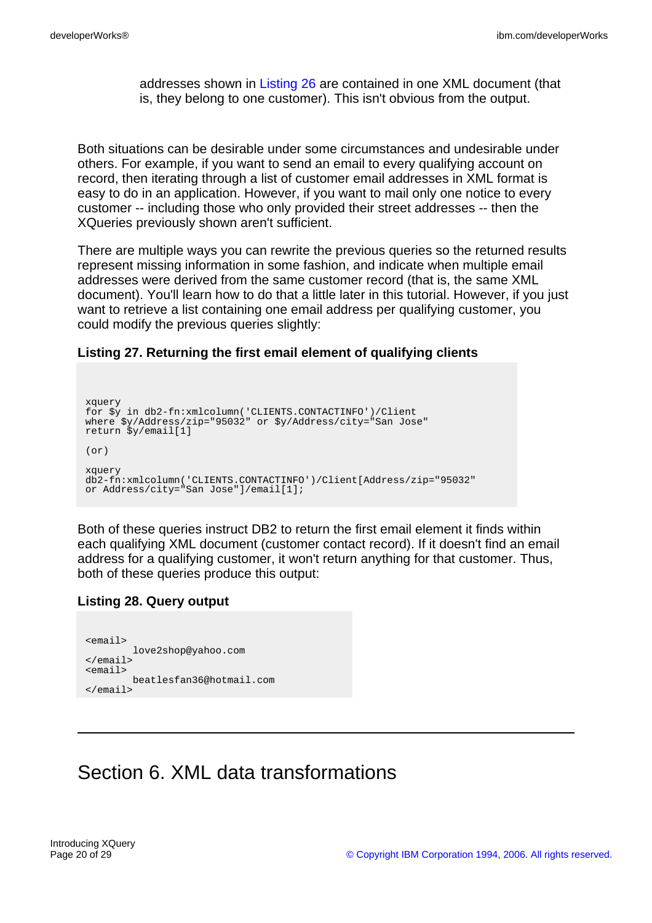addresses shown in [Listing 26](#page--1-0) are contained in one XML document (that is, they belong to one customer). This isn't obvious from the output.

Both situations can be desirable under some circumstances and undesirable under others. For example, if you want to send an email to every qualifying account on record, then iterating through a list of customer email addresses in XML format is easy to do in an application. However, if you want to mail only one notice to every customer -- including those who only provided their street addresses -- then the XQueries previously shown aren't sufficient.

There are multiple ways you can rewrite the previous queries so the returned results represent missing information in some fashion, and indicate when multiple email addresses were derived from the same customer record (that is, the same XML document). You'll learn how to do that a little later in this tutorial. However, if you just want to retrieve a list containing one email address per qualifying customer, you could modify the previous queries slightly:

**Listing 27. Returning the first email element of qualifying clients**

```
xquery
for $y in db2-fn:xmlcolumn('CLIENTS.CONTACTINFO')/Client
where $y/Address/zip="95032" or $y/Address/city="San Jose"
return $y/email[1]
(or)
xquery
db2-fn:xmlcolumn('CLIENTS.CONTACTINFO')/Client[Address/zip="95032"
or Address/city="San Jose"]/email[1];
```
Both of these queries instruct DB2 to return the first email element it finds within each qualifying XML document (customer contact record). If it doesn't find an email address for a qualifying customer, it won't return anything for that customer. Thus, both of these queries produce this output:

### **Listing 28. Query output**

```
<email>
        love2shop@yahoo.com
\sim/\sim<email>
        beatlesfan36@hotmail.com
</email>
```
# Section 6. XML data transformations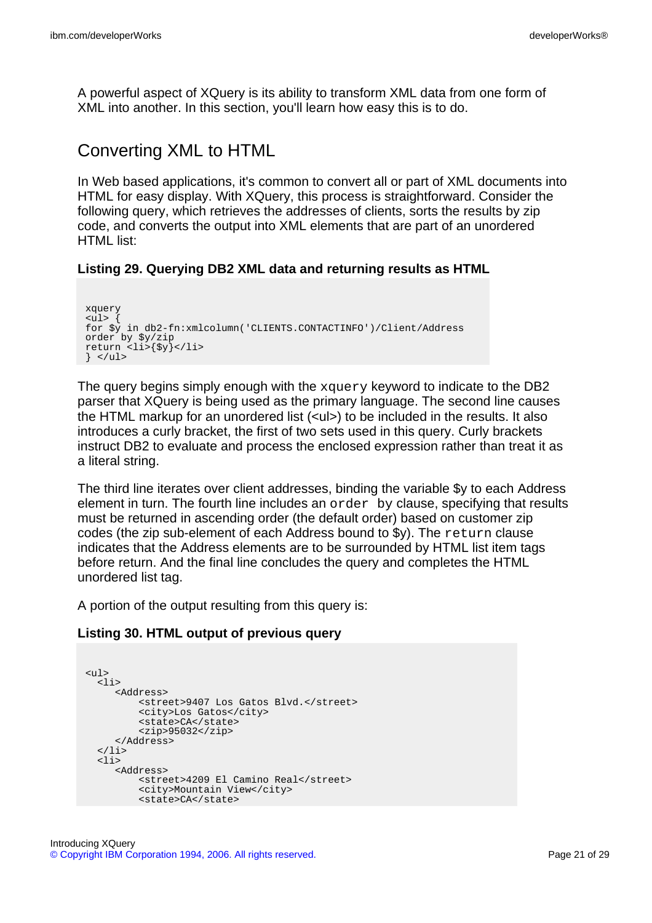A powerful aspect of XQuery is its ability to transform XML data from one form of XML into another. In this section, you'll learn how easy this is to do.

## Converting XML to HTML

In Web based applications, it's common to convert all or part of XML documents into HTML for easy display. With XQuery, this process is straightforward. Consider the following query, which retrieves the addresses of clients, sorts the results by zip code, and converts the output into XML elements that are part of an unordered HTML list<sup>.</sup>

### **Listing 29. Querying DB2 XML data and returning results as HTML**

```
xquery
\langle \text{ul} \rangle {
for $y in db2-fn:xmlcolumn('CLIENTS.CONTACTINFO')/Client/Address
order by $y/zip
return <li>{$y}</li>
\} </ul>
```
The query begins simply enough with the xquery keyword to indicate to the DB2 parser that XQuery is being used as the primary language. The second line causes the HTML markup for an unordered list (<ul>) to be included in the results. It also introduces a curly bracket, the first of two sets used in this query. Curly brackets instruct DB2 to evaluate and process the enclosed expression rather than treat it as a literal string.

The third line iterates over client addresses, binding the variable \$y to each Address element in turn. The fourth line includes an order by clause, specifying that results must be returned in ascending order (the default order) based on customer zip codes (the zip sub-element of each Address bound to \$y). The return clause indicates that the Address elements are to be surrounded by HTML list item tags before return. And the final line concludes the query and completes the HTML unordered list tag.

A portion of the output resulting from this query is:

### **Listing 30. HTML output of previous query**

```
<ul>
  <li>
     <Address>
         <street>9407 Los Gatos Blvd.</street>
          <city>Los Gatos</city>
         <state>CA</state>
          <zip>95032</zip>
     </Address>
  \langle/li>
  \overline{\text{}11}<Address>
         <street>4209 El Camino Real</street>
          <city>Mountain View</city>
         <state>CA</state>
```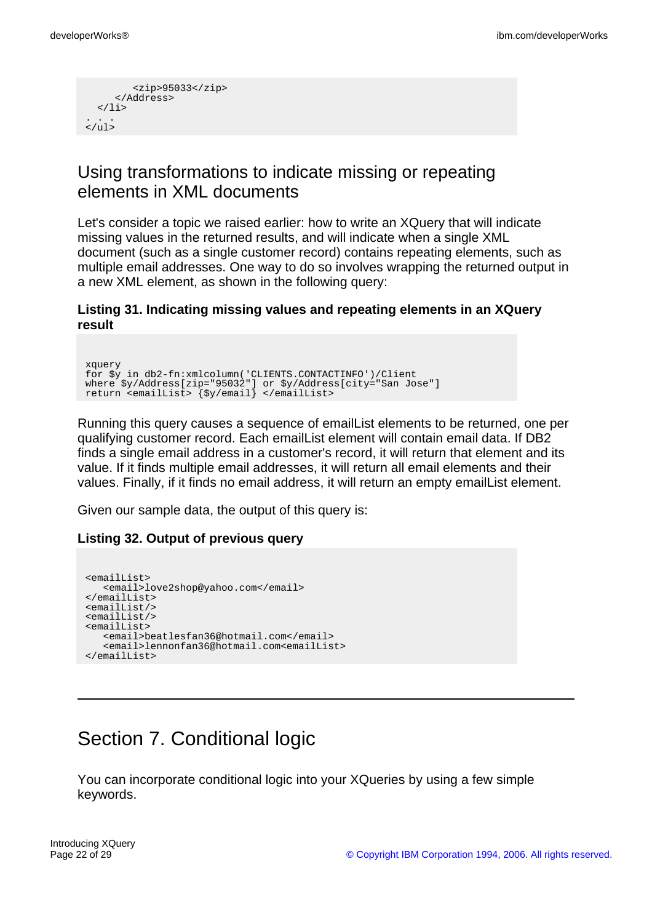```
<zip>95033</zip>
     </Address>
  \langle/li>
. . .
2/11
```
## Using transformations to indicate missing or repeating elements in XML documents

Let's consider a topic we raised earlier: how to write an XQuery that will indicate missing values in the returned results, and will indicate when a single XML document (such as a single customer record) contains repeating elements, such as multiple email addresses. One way to do so involves wrapping the returned output in a new XML element, as shown in the following query:

### **Listing 31. Indicating missing values and repeating elements in an XQuery result**

```
xquery
for $y in db2-fn:xmlcolumn('CLIENTS.CONTACTINFO')/Client
where $y/Address[zip="95032"] or $y/Address[city="San Jose"]
return <emailList> {$y/email} </emailList>
```
Running this query causes a sequence of emailList elements to be returned, one per qualifying customer record. Each emailList element will contain email data. If DB2 finds a single email address in a customer's record, it will return that element and its value. If it finds multiple email addresses, it will return all email elements and their values. Finally, if it finds no email address, it will return an empty emailList element.

Given our sample data, the output of this query is:

### **Listing 32. Output of previous query**

```
<emailList>
  <email>love2shop@yahoo.com</email>
</emailList>
<emailList/>
<emailList/>
<emailList>
   <email>beatlesfan36@hotmail.com</email>
   <email>lennonfan36@hotmail.com<emailList>
</emailList>
```
# Section 7. Conditional logic

You can incorporate conditional logic into your XQueries by using a few simple keywords.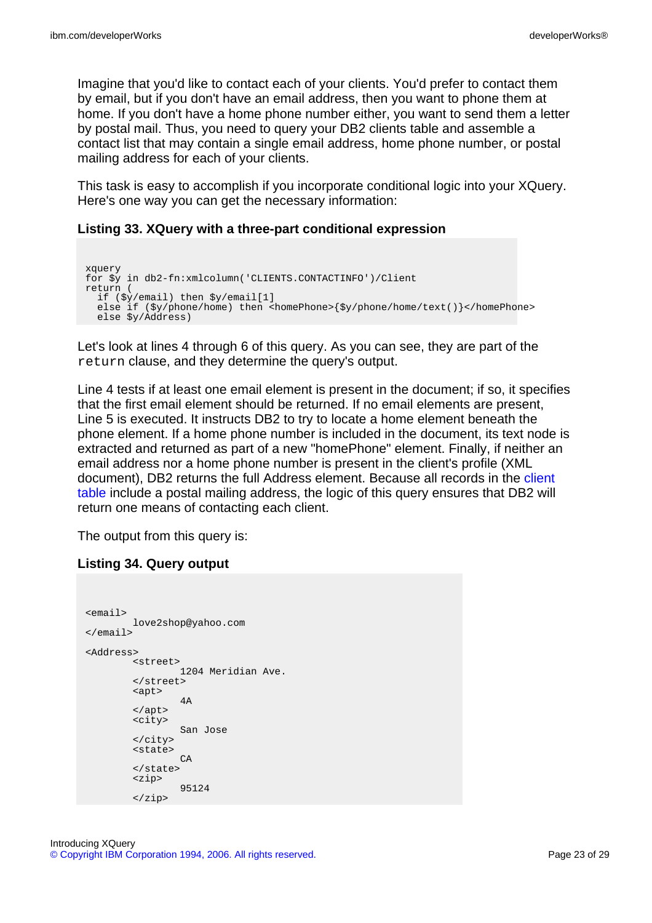Imagine that you'd like to contact each of your clients. You'd prefer to contact them by email, but if you don't have an email address, then you want to phone them at home. If you don't have a home phone number either, you want to send them a letter by postal mail. Thus, you need to query your DB2 clients table and assemble a contact list that may contain a single email address, home phone number, or postal mailing address for each of your clients.

This task is easy to accomplish if you incorporate conditional logic into your XQuery. Here's one way you can get the necessary information:

#### **Listing 33. XQuery with a three-part conditional expression**

```
xquery
for $y in db2-fn:xmlcolumn('CLIENTS.CONTACTINFO')/Client
return (
 if ($y/email) then $y/email[1]
  else if (\frac{5y}{phone}/home) then <homePhone>{\frac{5y}{phone}/home/text()}</homePhone>
  else $y/Address)
```
Let's look at lines 4 through 6 of this query. As you can see, they are part of the return clause, and they determine the query's output.

Line 4 tests if at least one email element is present in the document; if so, it specifies that the first email element should be returned. If no email elements are present, Line 5 is executed. It instructs DB2 to try to locate a home element beneath the phone element. If a home phone number is included in the document, its text node is extracted and returned as part of a new "homePhone" element. Finally, if neither an email address nor a home phone number is present in the client's profile (XML document), DB2 returns the full Address element. Because all records in the [client](#page-9-0) [table](#page-9-0) include a postal mailing address, the logic of this query ensures that DB2 will return one means of contacting each client.

The output from this query is:

#### **Listing 34. Query output**

```
<email>
        love2shop@yahoo.com
</email>
<Address>
       <street>
                1204 Meridian Ave.
       </street>
        <apt>
                4A
        </apt>
        <city>
                San Jose
        </city>
        <state>
                CA
        </state>
        <zip>
                95124
        </zip>
```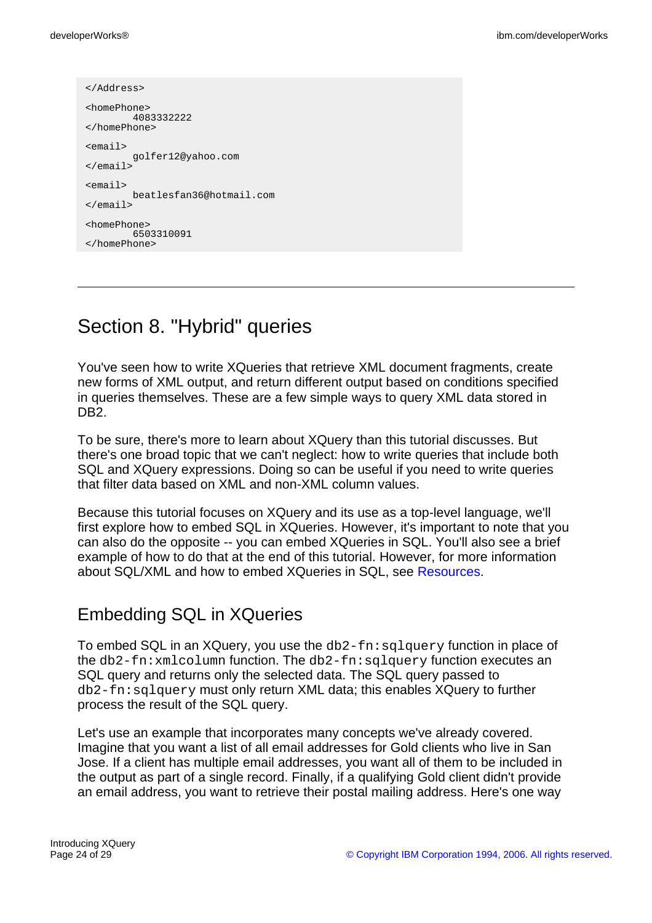```
</Address>
<homePhone>
        4083332222
</homePhone>
<email>
        golfer12@yahoo.com
</email>
<email>
       beatlesfan36@hotmail.com
</email>
<homePhone>
       6503310091
</homePhone>
```
# Section 8. "Hybrid" queries

You've seen how to write XQueries that retrieve XML document fragments, create new forms of XML output, and return different output based on conditions specified in queries themselves. These are a few simple ways to query XML data stored in DB2.

To be sure, there's more to learn about XQuery than this tutorial discusses. But there's one broad topic that we can't neglect: how to write queries that include both SQL and XQuery expressions. Doing so can be useful if you need to write queries that filter data based on XML and non-XML column values.

Because this tutorial focuses on XQuery and its use as a top-level language, we'll first explore how to embed SQL in XQueries. However, it's important to note that you can also do the opposite -- you can embed XQueries in SQL. You'll also see a brief example of how to do that at the end of this tutorial. However, for more information about SQL/XML and how to embed XQueries in SQL, see [Resources](#page-27-0).

## Embedding SQL in XQueries

To embed SQL in an XQuery, you use the  $db2-fn:q1query$  function in place of the db2-fn:xmlcolumn function. The db2-fn:sqlquery function executes an SQL query and returns only the selected data. The SQL query passed to db2-fn:sqlquery must only return XML data; this enables XQuery to further process the result of the SQL query.

Let's use an example that incorporates many concepts we've already covered. Imagine that you want a list of all email addresses for Gold clients who live in San Jose. If a client has multiple email addresses, you want all of them to be included in the output as part of a single record. Finally, if a qualifying Gold client didn't provide an email address, you want to retrieve their postal mailing address. Here's one way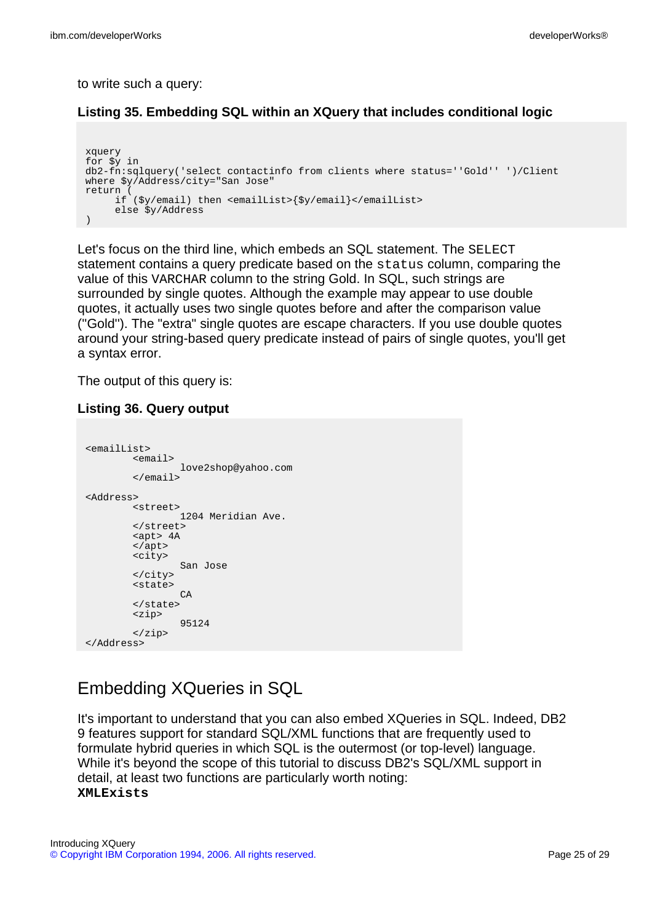to write such a query:

### **Listing 35. Embedding SQL within an XQuery that includes conditional logic**

```
xquery
for $y in
db2-fn:sqlquery('select contactinfo from clients where status=''Gold'' ')/Client
where $y/Address/city="San Jose"
return (
     if ($y/email) then <emailList>{$y/email}</emailList>
     else $y/Address
)
```
Let's focus on the third line, which embeds an SQL statement. The SELECT statement contains a query predicate based on the status column, comparing the value of this VARCHAR column to the string Gold. In SQL, such strings are surrounded by single quotes. Although the example may appear to use double quotes, it actually uses two single quotes before and after the comparison value (''Gold''). The "extra" single quotes are escape characters. If you use double quotes around your string-based query predicate instead of pairs of single quotes, you'll get a syntax error.

The output of this query is:

### **Listing 36. Query output**

```
<emailList>
        <email>
                love2shop@yahoo.com
        \epsilon/email>
<Address>
        <street>
                1204 Meridian Ave.
        </street>
       <apt> 4A
       </apt>
       <city>
                San Jose
        </city>
        <state>
                C_A</state>
        <zip>
                95124
        </zip>
</Address>
```
## Embedding XQueries in SQL

It's important to understand that you can also embed XQueries in SQL. Indeed, DB2 9 features support for standard SQL/XML functions that are frequently used to formulate hybrid queries in which SQL is the outermost (or top-level) language. While it's beyond the scope of this tutorial to discuss DB2's SQL/XML support in detail, at least two functions are particularly worth noting: **XMLExists**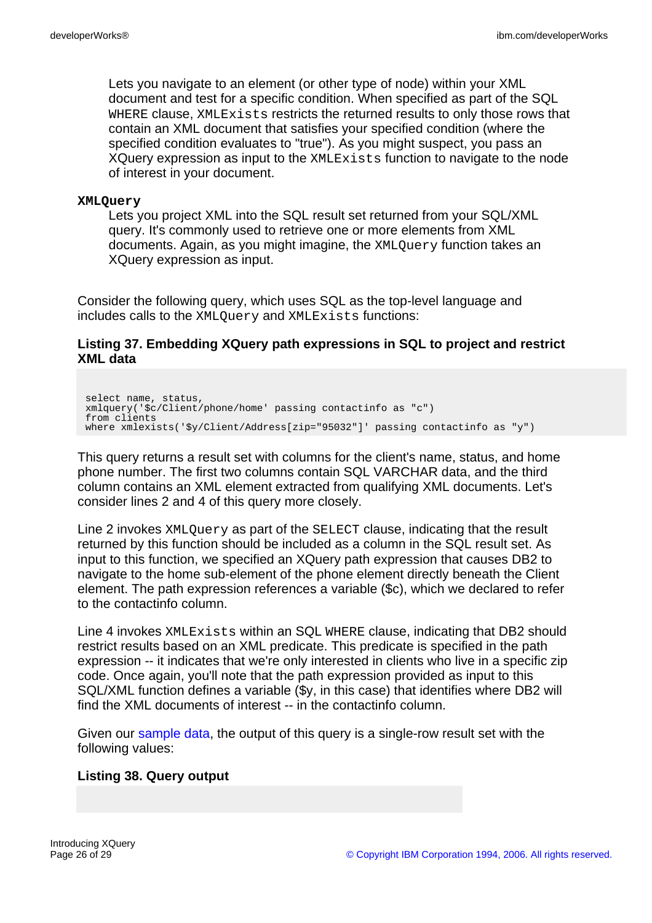Lets you navigate to an element (or other type of node) within your XML document and test for a specific condition. When specified as part of the SQL WHERE clause, XMLExists restricts the returned results to only those rows that contain an XML document that satisfies your specified condition (where the specified condition evaluates to "true"). As you might suspect, you pass an XQuery expression as input to the XMLExists function to navigate to the node of interest in your document.

#### **XMLQuery**

Lets you project XML into the SQL result set returned from your SQL/XML query. It's commonly used to retrieve one or more elements from XML documents. Again, as you might imagine, the XMLQuery function takes an XQuery expression as input.

Consider the following query, which uses SQL as the top-level language and includes calls to the XMLQuery and XMLExists functions:

### **Listing 37. Embedding XQuery path expressions in SQL to project and restrict XML data**

select name, status, xmlquery('\$c/Client/phone/home' passing contactinfo as "c") from clients where xmlexists('\$y/Client/Address[zip="95032"]' passing contactinfo as "y")

This query returns a result set with columns for the client's name, status, and home phone number. The first two columns contain SQL VARCHAR data, and the third column contains an XML element extracted from qualifying XML documents. Let's consider lines 2 and 4 of this query more closely.

Line 2 invokes XMLQuery as part of the SELECT clause, indicating that the result returned by this function should be included as a column in the SQL result set. As input to this function, we specified an XQuery path expression that causes DB2 to navigate to the home sub-element of the phone element directly beneath the Client element. The path expression references a variable (\$c), which we declared to refer to the contactinfo column.

Line 4 invokes XMLExists within an SQL WHERE clause, indicating that DB2 should restrict results based on an XML predicate. This predicate is specified in the path expression -- it indicates that we're only interested in clients who live in a specific zip code. Once again, you'll note that the path expression provided as input to this SQL/XML function defines a variable (\$y, in this case) that identifies where DB2 will find the XML documents of interest -- in the contactinfo column.

Given our [sample data,](#page-9-0) the output of this query is a single-row result set with the following values:

### **Listing 38. Query output**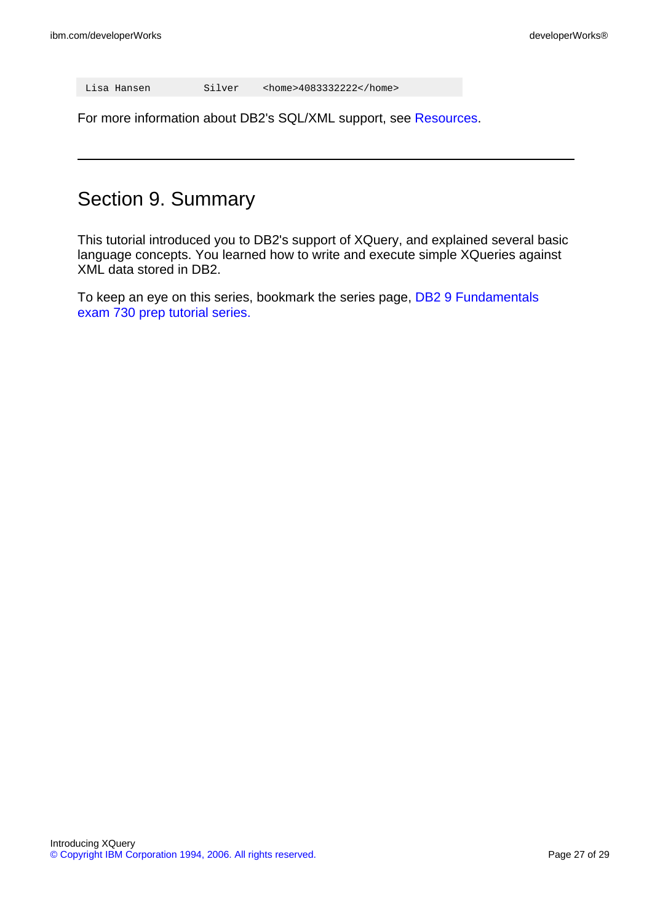For more information about DB2's SQL/XML support, see [Resources.](#page-27-0)

# Section 9. Summary

This tutorial introduced you to DB2's support of XQuery, and explained several basic language concepts. You learned how to write and execute simple XQueries against XML data stored in DB2.

To keep an eye on this series, bookmark the series page, [DB2 9 Fundamentals](http://www.ibm.com/developerworks/offers/lp/db2cert/db2-cert730.html?S_TACT=105AGX19&S_CMP=db2cert) [exam 730 prep tutorial series.](http://www.ibm.com/developerworks/offers/lp/db2cert/db2-cert730.html?S_TACT=105AGX19&S_CMP=db2cert)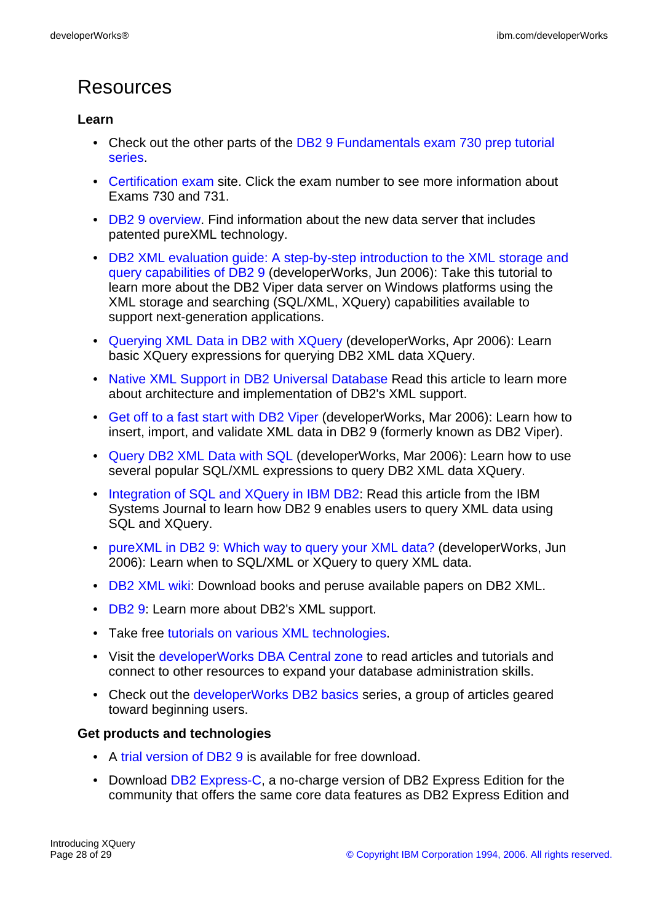# <span id="page-27-0"></span>Resources

## **Learn**

- Check out the other parts of the [DB2 9 Fundamentals exam 730 prep tutorial](http://www.ibm.com/developerworks/offers/lp/db2cert/db2-cert730.html?S_TACT=105AGX19&S_CMP=db2cert) [series](http://www.ibm.com/developerworks/offers/lp/db2cert/db2-cert730.html?S_TACT=105AGX19&S_CMP=db2cert).
- [Certification exam](http://www-03.ibm.com/certify/tests/test_index.shtml) site. Click the exam number to see more information about Exams 730 and 731.
- [DB2 9 overview](http://www-306.ibm.com/software/data/db2/v9/pr.html). Find information about the new data server that includes patented pureXML technology.
- [DB2 XML evaluation guide: A step-by-step introduction to the XML storage and](http://www.ibm.com/developerworks/edu/dm-dw-dm-0606leung-i.html?S_TACT=105AGX19&S_CMP=db2cert) [query capabilities of DB2 9](http://www.ibm.com/developerworks/edu/dm-dw-dm-0606leung-i.html?S_TACT=105AGX19&S_CMP=db2cert) (developerWorks, Jun 2006): Take this tutorial to learn more about the DB2 Viper data server on Windows platforms using the XML storage and searching (SQL/XML, XQuery) capabilities available to support next-generation applications.
- [Querying XML Data in DB2 with XQuery](http://www.ibm.com/developerworks/db2/library/techarticle/dm-0604saracco/) (developerWorks, Apr 2006): Learn basic XQuery expressions for querying DB2 XML data XQuery.
- [Native XML Support in DB2 Universal Database](#page-0-0) Read this article to learn more about architecture and implementation of DB2's XML support.
- [Get off to a fast start with DB2 Viper](http://www.ibm.com/developerworks/db2/library/techarticle/dm-0603saracco/) (developerWorks, Mar 2006): Learn how to insert, import, and validate XML data in DB2 9 (formerly known as DB2 Viper).
- [Query DB2 XML Data with SQL](http://www.ibm.com/developerworks/db2/library/techarticle/dm-0603saracco2/) (developerWorks, Mar 2006): Learn how to use several popular SQL/XML expressions to query DB2 XML data XQuery.
- [Integration of SQL and XQuery in IBM DB2:](http://researchweb.watson.ibm.com/journal/sj/452/ozcan.html) Read this article from the IBM Systems Journal to learn how DB2 9 enables users to query XML data using SQL and XQuery.
- [pureXML in DB2 9: Which way to query your XML data?]( http://www.ibm.com/developerworks/db2/library/techarticle/dm-0606nicola/) (developerWorks, Jun 2006): Learn when to SQL/XML or XQuery to query XML data.
- [DB2 XML wiki:](http://www-03.ibm.com/developerworks/wikis/display/db2xml/Home) Download books and peruse available papers on DB2 XML.
- [DB2 9:](http://www.ibm.com/db2/xml) Learn more about DB2's XML support.
- Take free [tutorials on various XML technologies.](http://www.w3schools.com/)
- Visit the [developerWorks DBA Central zone](http://www.ibm.com/developerworks/db2/zones/dba/) to read articles and tutorials and connect to other resources to expand your database administration skills.
- Check out the [developerWorks DB2 basics](http://www.ibm.com/developerworks/db2/newto/db2basics.html) series, a group of articles geared toward beginning users.

### **Get products and technologies**

- A [trial version of DB2 9](http://www.ibm.com/developerworks/downloads/im/udb/?S_TACT=105AGX19&S_CMP=db2cert) is available for free download.
- Download [DB2 Express-C,](http://www.ibm.com/developerworks/downloads/im/udbexp/index.html?S_TACT=105AGX19&S_CMP=db2cert) a no-charge version of DB2 Express Edition for the community that offers the same core data features as DB2 Express Edition and